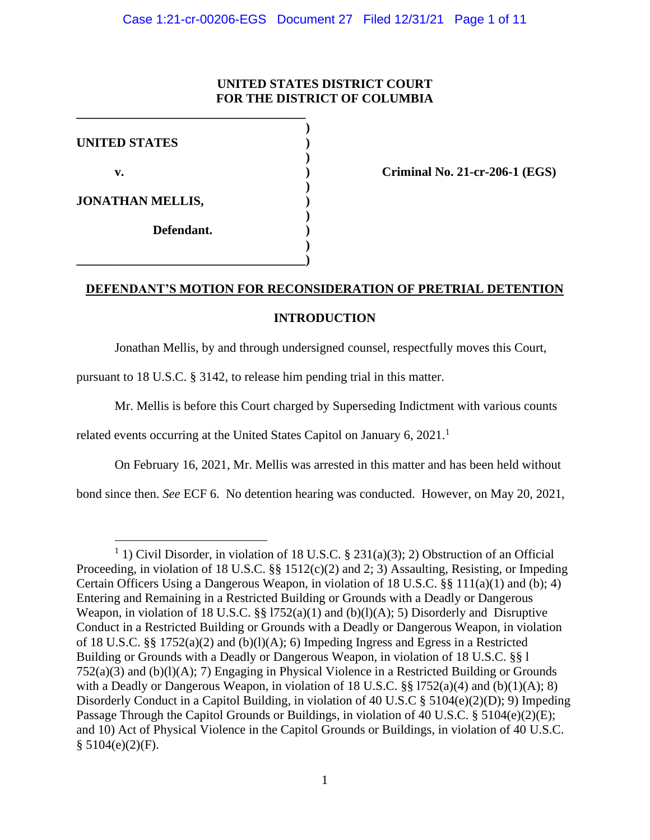# **UNITED STATES DISTRICT COURT FOR THE DISTRICT OF COLUMBIA**

| <b>UNITED STATES</b>    |  |
|-------------------------|--|
| v.                      |  |
| <b>JONATHAN MELLIS,</b> |  |
| Defendant.              |  |
|                         |  |

**\_\_\_\_\_\_\_\_\_\_\_\_\_\_\_\_\_\_\_\_\_\_\_\_\_\_\_\_\_\_\_\_\_\_\_\_**

**v. ) Criminal No. 21-cr-206-1 (EGS)**

# **DEFENDANT'S MOTION FOR RECONSIDERATION OF PRETRIAL DETENTION**

# **INTRODUCTION**

Jonathan Mellis, by and through undersigned counsel, respectfully moves this Court,

pursuant to 18 U.S.C. § 3142, to release him pending trial in this matter.

Mr. Mellis is before this Court charged by Superseding Indictment with various counts

related events occurring at the United States Capitol on January 6,  $2021$ .<sup>1</sup>

On February 16, 2021, Mr. Mellis was arrested in this matter and has been held without

bond since then. *See* ECF 6. No detention hearing was conducted. However, on May 20, 2021,

<sup>&</sup>lt;sup>1</sup> 1) Civil Disorder, in violation of 18 U.S.C. § 231(a)(3); 2) Obstruction of an Official Proceeding, in violation of 18 U.S.C. §§ 1512(c)(2) and 2; 3) Assaulting, Resisting, or Impeding Certain Officers Using a Dangerous Weapon, in violation of 18 U.S.C. §§ 111(a)(1) and (b); 4) Entering and Remaining in a Restricted Building or Grounds with a Deadly or Dangerous Weapon, in violation of 18 U.S.C.  $\S$  1752(a)(1) and (b)(l)(A); 5) Disorderly and Disruptive Conduct in a Restricted Building or Grounds with a Deadly or Dangerous Weapon, in violation of 18 U.S.C. §§ 1752(a)(2) and (b)(l)(A); 6) Impeding Ingress and Egress in a Restricted Building or Grounds with a Deadly or Dangerous Weapon, in violation of 18 U.S.C. §§ l 752(a)(3) and (b)(l)(A); 7) Engaging in Physical Violence in a Restricted Building or Grounds with a Deadly or Dangerous Weapon, in violation of 18 U.S.C.  $\S$  1752(a)(4) and (b)(1)(A); 8) Disorderly Conduct in a Capitol Building, in violation of 40 U.S.C § 5104(e)(2)(D); 9) Impeding Passage Through the Capitol Grounds or Buildings, in violation of 40 U.S.C. § 5104(e)(2)(E); and 10) Act of Physical Violence in the Capitol Grounds or Buildings, in violation of 40 U.S.C.  $$5104(e)(2)(F).$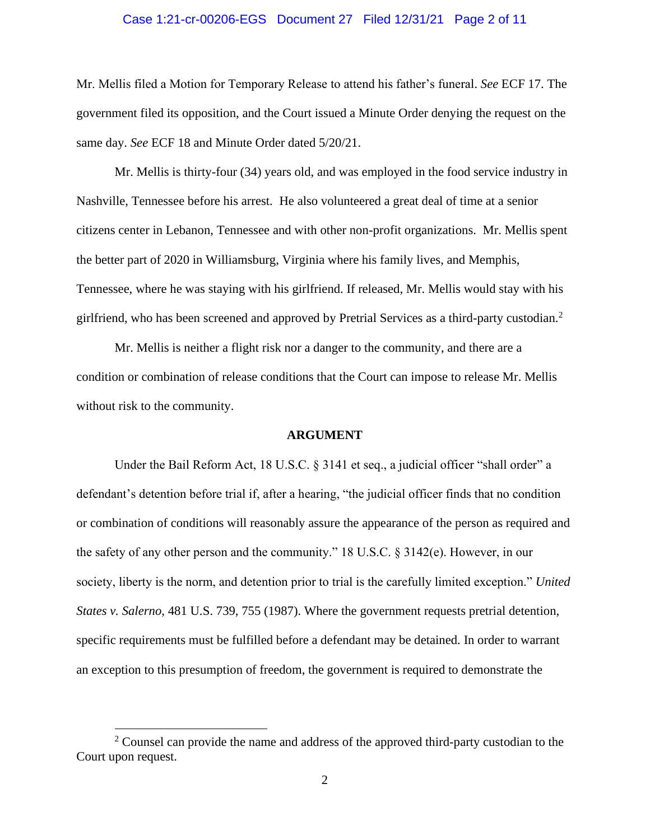### Case 1:21-cr-00206-EGS Document 27 Filed 12/31/21 Page 2 of 11

Mr. Mellis filed a Motion for Temporary Release to attend his father's funeral. *See* ECF 17. The government filed its opposition, and the Court issued a Minute Order denying the request on the same day. *See* ECF 18 and Minute Order dated 5/20/21.

Mr. Mellis is thirty-four (34) years old, and was employed in the food service industry in Nashville, Tennessee before his arrest. He also volunteered a great deal of time at a senior citizens center in Lebanon, Tennessee and with other non-profit organizations. Mr. Mellis spent the better part of 2020 in Williamsburg, Virginia where his family lives, and Memphis, Tennessee, where he was staying with his girlfriend. If released, Mr. Mellis would stay with his girlfriend, who has been screened and approved by Pretrial Services as a third-party custodian.<sup>2</sup>

Mr. Mellis is neither a flight risk nor a danger to the community, and there are a condition or combination of release conditions that the Court can impose to release Mr. Mellis without risk to the community.

#### **ARGUMENT**

Under the Bail Reform Act, 18 U.S.C. § 3141 et seq., a judicial officer "shall order" a defendant's detention before trial if, after a hearing, "the judicial officer finds that no condition or combination of conditions will reasonably assure the appearance of the person as required and the safety of any other person and the community." 18 U.S.C. § 3142(e). However, in our society, liberty is the norm, and detention prior to trial is the carefully limited exception." *United States v. Salerno*, 481 U.S. 739, 755 (1987). Where the government requests pretrial detention, specific requirements must be fulfilled before a defendant may be detained. In order to warrant an exception to this presumption of freedom, the government is required to demonstrate the

 $2$  Counsel can provide the name and address of the approved third-party custodian to the Court upon request.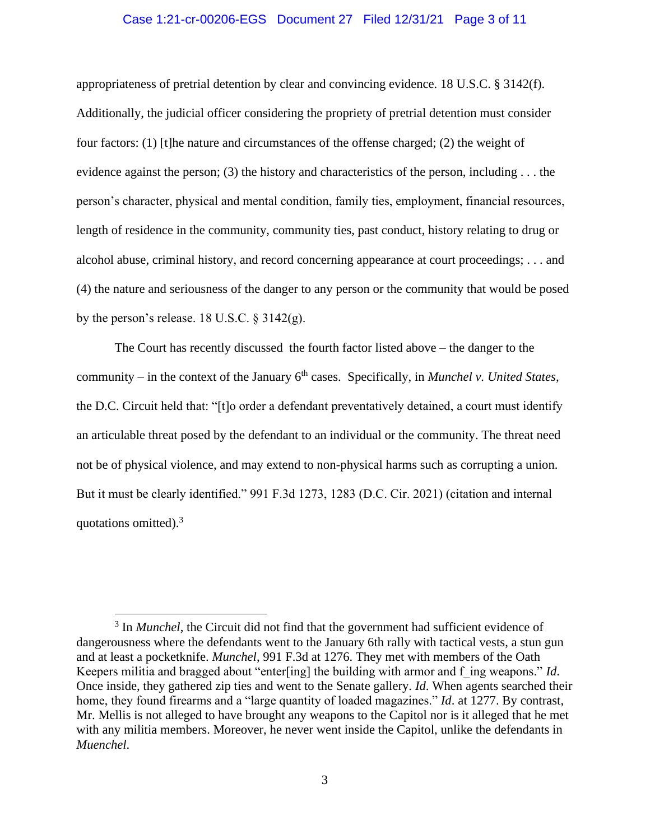### Case 1:21-cr-00206-EGS Document 27 Filed 12/31/21 Page 3 of 11

appropriateness of pretrial detention by clear and convincing evidence. 18 U.S.C. § 3142(f). Additionally, the judicial officer considering the propriety of pretrial detention must consider four factors: (1) [t]he nature and circumstances of the offense charged; (2) the weight of evidence against the person; (3) the history and characteristics of the person, including . . . the person's character, physical and mental condition, family ties, employment, financial resources, length of residence in the community, community ties, past conduct, history relating to drug or alcohol abuse, criminal history, and record concerning appearance at court proceedings; . . . and (4) the nature and seriousness of the danger to any person or the community that would be posed by the person's release. 18 U.S.C.  $\S$  3142(g).

The Court has recently discussed the fourth factor listed above – the danger to the community – in the context of the January 6<sup>th</sup> cases. Specifically, in *Munchel v. United States*, the D.C. Circuit held that: "[t]o order a defendant preventatively detained, a court must identify an articulable threat posed by the defendant to an individual or the community. The threat need not be of physical violence, and may extend to non-physical harms such as corrupting a union. But it must be clearly identified." 991 F.3d 1273, 1283 (D.C. Cir. 2021) (citation and internal quotations omitted).<sup>3</sup>

<sup>&</sup>lt;sup>3</sup> In *Munchel*, the Circuit did not find that the government had sufficient evidence of dangerousness where the defendants went to the January 6th rally with tactical vests, a stun gun and at least a pocketknife. *Munchel*, 991 F.3d at 1276. They met with members of the Oath Keepers militia and bragged about "enter[ing] the building with armor and f\_ing weapons." *Id*. Once inside, they gathered zip ties and went to the Senate gallery. *Id*. When agents searched their home, they found firearms and a "large quantity of loaded magazines." *Id*. at 1277. By contrast, Mr. Mellis is not alleged to have brought any weapons to the Capitol nor is it alleged that he met with any militia members. Moreover, he never went inside the Capitol, unlike the defendants in *Muenchel*.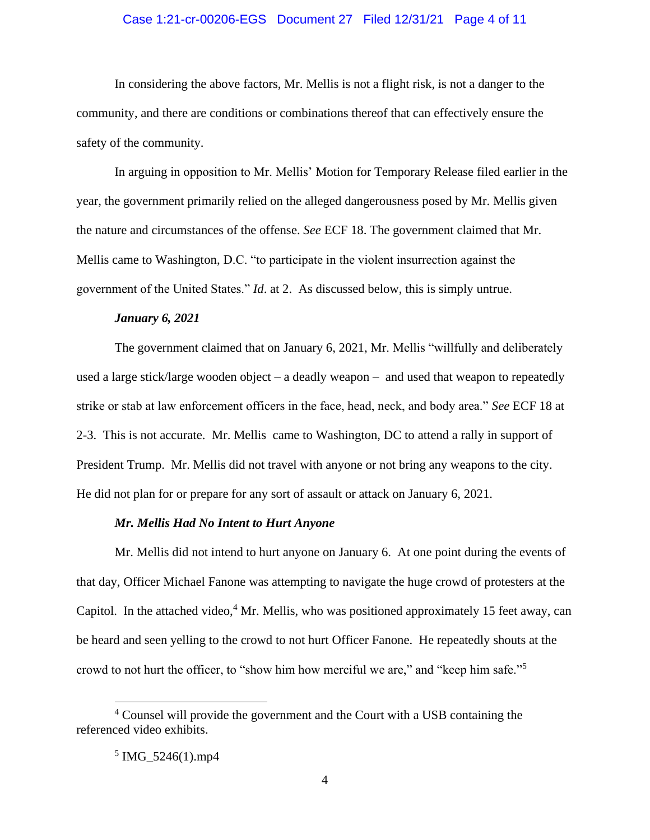### Case 1:21-cr-00206-EGS Document 27 Filed 12/31/21 Page 4 of 11

In considering the above factors, Mr. Mellis is not a flight risk, is not a danger to the community, and there are conditions or combinations thereof that can effectively ensure the safety of the community.

In arguing in opposition to Mr. Mellis' Motion for Temporary Release filed earlier in the year, the government primarily relied on the alleged dangerousness posed by Mr. Mellis given the nature and circumstances of the offense. *See* ECF 18. The government claimed that Mr. Mellis came to Washington, D.C. "to participate in the violent insurrection against the government of the United States." *Id*. at 2. As discussed below, this is simply untrue.

#### *January 6, 2021*

The government claimed that on January 6, 2021, Mr. Mellis "willfully and deliberately used a large stick/large wooden object – a deadly weapon – and used that weapon to repeatedly strike or stab at law enforcement officers in the face, head, neck, and body area." *See* ECF 18 at 2-3. This is not accurate. Mr. Mellis came to Washington, DC to attend a rally in support of President Trump. Mr. Mellis did not travel with anyone or not bring any weapons to the city. He did not plan for or prepare for any sort of assault or attack on January 6, 2021.

### *Mr. Mellis Had No Intent to Hurt Anyone*

Mr. Mellis did not intend to hurt anyone on January 6. At one point during the events of that day, Officer Michael Fanone was attempting to navigate the huge crowd of protesters at the Capitol. In the attached video, $4$  Mr. Mellis, who was positioned approximately 15 feet away, can be heard and seen yelling to the crowd to not hurt Officer Fanone. He repeatedly shouts at the crowd to not hurt the officer, to "show him how merciful we are," and "keep him safe."<sup>5</sup>

<sup>4</sup> Counsel will provide the government and the Court with a USB containing the referenced video exhibits.

<sup>5</sup> IMG\_5246(1).mp4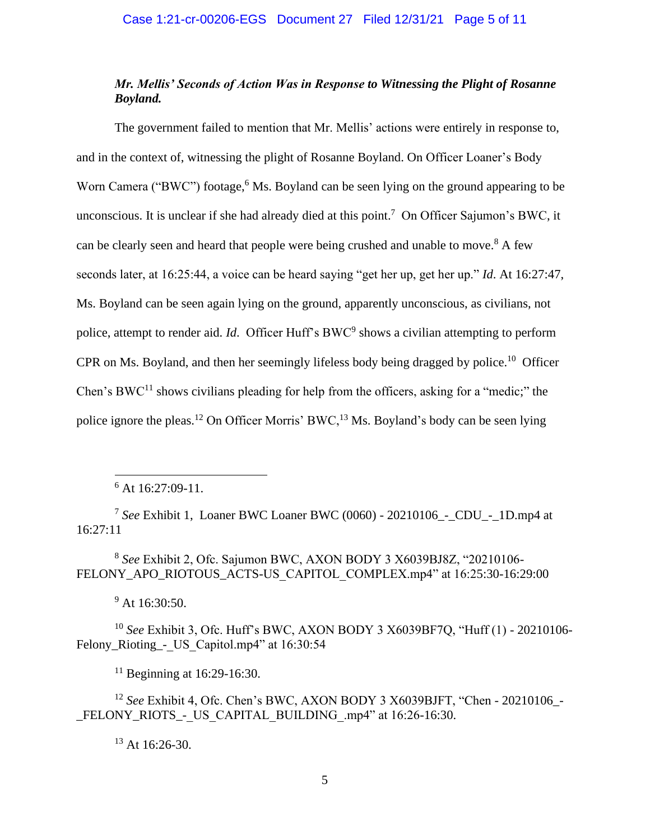# *Mr. Mellis' Seconds of Action Was in Response to Witnessing the Plight of Rosanne Boyland.*

The government failed to mention that Mr. Mellis' actions were entirely in response to, and in the context of, witnessing the plight of Rosanne Boyland. On Officer Loaner's Body Worn Camera ("BWC") footage,<sup>6</sup> Ms. Boyland can be seen lying on the ground appearing to be unconscious. It is unclear if she had already died at this point.<sup>7</sup> On Officer Sajumon's BWC, it can be clearly seen and heard that people were being crushed and unable to move.<sup>8</sup> A few seconds later, at 16:25:44, a voice can be heard saying "get her up, get her up." *Id*. At 16:27:47, Ms. Boyland can be seen again lying on the ground, apparently unconscious, as civilians, not police, attempt to render aid. *Id*. Officer Huff's BWC<sup>9</sup> shows a civilian attempting to perform CPR on Ms. Boyland, and then her seemingly lifeless body being dragged by police.<sup>10</sup> Officer Chen's BWC<sup>11</sup> shows civilians pleading for help from the officers, asking for a "medic;" the police ignore the pleas.<sup>12</sup> On Officer Morris' BWC,<sup>13</sup> Ms. Boyland's body can be seen lying

 $6$  At 16:27:09-11.

7 *See* Exhibit 1, Loaner BWC Loaner BWC (0060) - 20210106\_-\_CDU\_-\_1D.mp4 at 16:27:11

8 *See* Exhibit 2, Ofc. Sajumon BWC, AXON BODY 3 X6039BJ8Z, "20210106- FELONY\_APO\_RIOTOUS\_ACTS-US\_CAPITOL\_COMPLEX.mp4" at 16:25:30-16:29:00

<sup>9</sup> At 16:30:50.

<sup>10</sup> *See* Exhibit 3, Ofc. Huff's BWC, AXON BODY 3 X6039BF7Q, "Huff (1) - 20210106- Felony\_Rioting\_-\_ US\_Capitol.mp4" at 16:30:54

 $11$  Beginning at 16:29-16:30.

<sup>12</sup> *See* Exhibit 4, Ofc. Chen's BWC, AXON BODY 3 X6039BJFT, "Chen - 20210106\_- \_FELONY\_RIOTS\_-\_US\_CAPITAL\_BUILDING\_.mp4" at 16:26-16:30.

 $13$  At 16:26-30.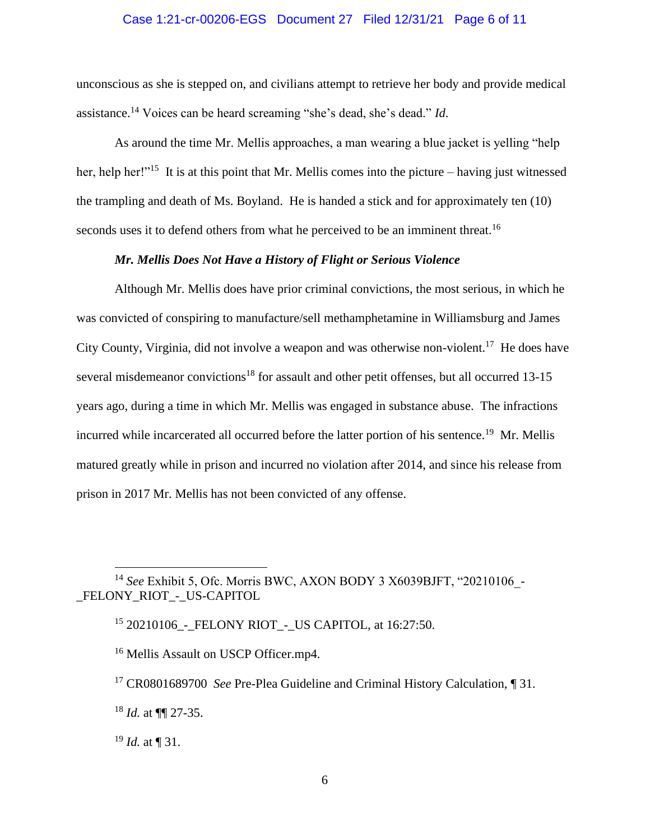## Case 1:21-cr-00206-EGS Document 27 Filed 12/31/21 Page 6 of 11

unconscious as she is stepped on, and civilians attempt to retrieve her body and provide medical assistance.<sup>14</sup> Voices can be heard screaming "she's dead, she's dead." *Id*.

As around the time Mr. Mellis approaches, a man wearing a blue jacket is yelling "help her, help her!"<sup>15</sup> It is at this point that Mr. Mellis comes into the picture – having just witnessed the trampling and death of Ms. Boyland. He is handed a stick and for approximately ten (10) seconds uses it to defend others from what he perceived to be an imminent threat.<sup>16</sup>

## *Mr. Mellis Does Not Have a History of Flight or Serious Violence*

Although Mr. Mellis does have prior criminal convictions, the most serious, in which he was convicted of conspiring to manufacture/sell methamphetamine in Williamsburg and James City County, Virginia, did not involve a weapon and was otherwise non-violent.<sup>17</sup> He does have several misdemeanor convictions<sup>18</sup> for assault and other petit offenses, but all occurred 13-15 years ago, during a time in which Mr. Mellis was engaged in substance abuse. The infractions incurred while incarcerated all occurred before the latter portion of his sentence.<sup>19</sup> Mr. Mellis matured greatly while in prison and incurred no violation after 2014, and since his release from prison in 2017 Mr. Mellis has not been convicted of any offense.

<sup>&</sup>lt;sup>14</sup> See Exhibit 5, Ofc. Morris BWC, AXON BODY 3 X6039BJFT, "20210106 -\_FELONY\_RIOT\_-\_US-CAPITOL

<sup>&</sup>lt;sup>15</sup> 20210106 - FELONY RIOT - US CAPITOL, at 16:27:50.

<sup>&</sup>lt;sup>16</sup> Mellis Assault on USCP Officer.mp4.

<sup>&</sup>lt;sup>17</sup> CR0801689700 *See* Pre-Plea Guideline and Criminal History Calculation, ¶ 31.

<sup>18</sup> *Id.* at ¶¶ 27-35.

 $^{19}$  *Id.* at ¶ 31.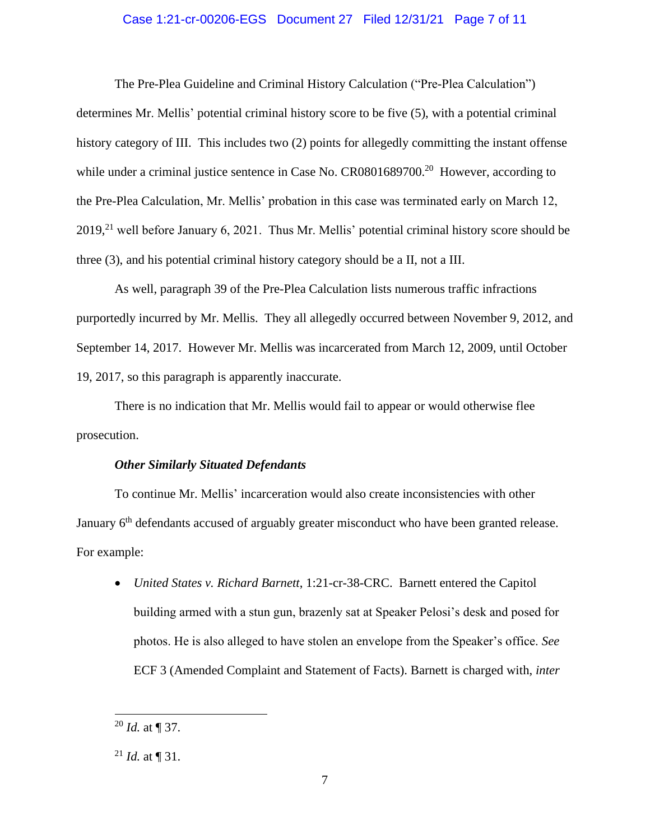### Case 1:21-cr-00206-EGS Document 27 Filed 12/31/21 Page 7 of 11

The Pre-Plea Guideline and Criminal History Calculation ("Pre-Plea Calculation") determines Mr. Mellis' potential criminal history score to be five (5), with a potential criminal history category of III. This includes two (2) points for allegedly committing the instant offense while under a criminal justice sentence in Case No. CR0801689700.<sup>20</sup> However, according to the Pre-Plea Calculation, Mr. Mellis' probation in this case was terminated early on March 12,  $2019<sub>1</sub><sup>21</sup>$  well before January 6, 2021. Thus Mr. Mellis' potential criminal history score should be three (3), and his potential criminal history category should be a II, not a III.

As well, paragraph 39 of the Pre-Plea Calculation lists numerous traffic infractions purportedly incurred by Mr. Mellis. They all allegedly occurred between November 9, 2012, and September 14, 2017. However Mr. Mellis was incarcerated from March 12, 2009, until October 19, 2017, so this paragraph is apparently inaccurate.

There is no indication that Mr. Mellis would fail to appear or would otherwise flee prosecution.

### *Other Similarly Situated Defendants*

To continue Mr. Mellis' incarceration would also create inconsistencies with other January 6<sup>th</sup> defendants accused of arguably greater misconduct who have been granted release. For example:

• *United States v. Richard Barnett*, 1:21-cr-38-CRC. Barnett entered the Capitol building armed with a stun gun, brazenly sat at Speaker Pelosi's desk and posed for photos. He is also alleged to have stolen an envelope from the Speaker's office. *See* ECF 3 (Amended Complaint and Statement of Facts). Barnett is charged with, *inter* 

 $^{20}$  *Id.* at ¶ 37.

<sup>&</sup>lt;sup>21</sup> *Id.* at  $\P$  31.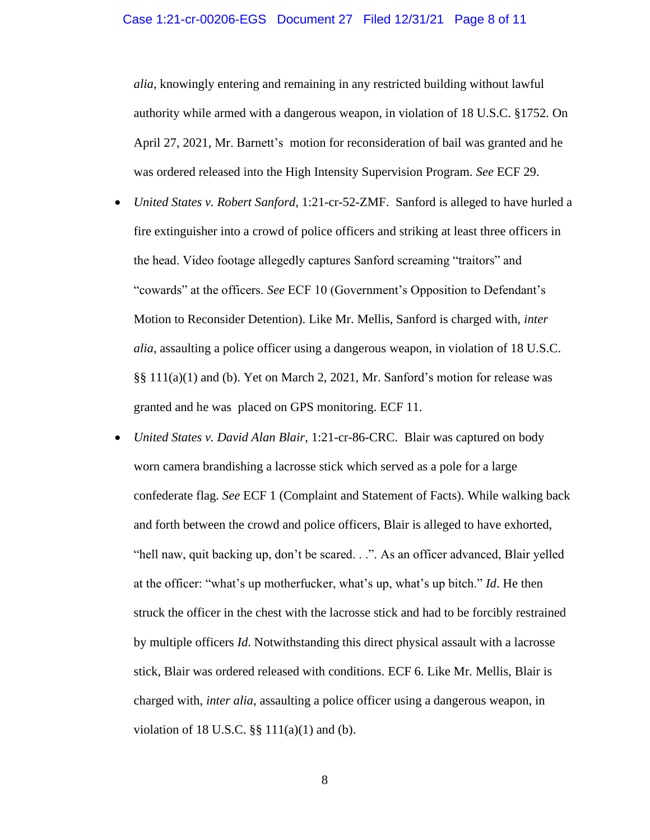*alia*, knowingly entering and remaining in any restricted building without lawful authority while armed with a dangerous weapon, in violation of 18 U.S.C. §1752. On April 27, 2021, Mr. Barnett's motion for reconsideration of bail was granted and he was ordered released into the High Intensity Supervision Program. *See* ECF 29.

- *United States v. Robert Sanford*, 1:21-cr-52-ZMF. Sanford is alleged to have hurled a fire extinguisher into a crowd of police officers and striking at least three officers in the head. Video footage allegedly captures Sanford screaming "traitors" and "cowards" at the officers. *See* ECF 10 (Government's Opposition to Defendant's Motion to Reconsider Detention). Like Mr. Mellis, Sanford is charged with, *inter alia*, assaulting a police officer using a dangerous weapon, in violation of 18 U.S.C. §§ 111(a)(1) and (b). Yet on March 2, 2021, Mr. Sanford's motion for release was granted and he was placed on GPS monitoring. ECF 11.
- *United States v. David Alan Blair*, 1:21-cr-86-CRC. Blair was captured on body worn camera brandishing a lacrosse stick which served as a pole for a large confederate flag. *See* ECF 1 (Complaint and Statement of Facts). While walking back and forth between the crowd and police officers, Blair is alleged to have exhorted, "hell naw, quit backing up, don't be scared. . .". As an officer advanced, Blair yelled at the officer: "what's up motherfucker, what's up, what's up bitch." *Id*. He then struck the officer in the chest with the lacrosse stick and had to be forcibly restrained by multiple officers *Id*. Notwithstanding this direct physical assault with a lacrosse stick, Blair was ordered released with conditions. ECF 6. Like Mr. Mellis, Blair is charged with, *inter alia*, assaulting a police officer using a dangerous weapon, in violation of 18 U.S.C.  $\S$  $\S$  111(a)(1) and (b).

8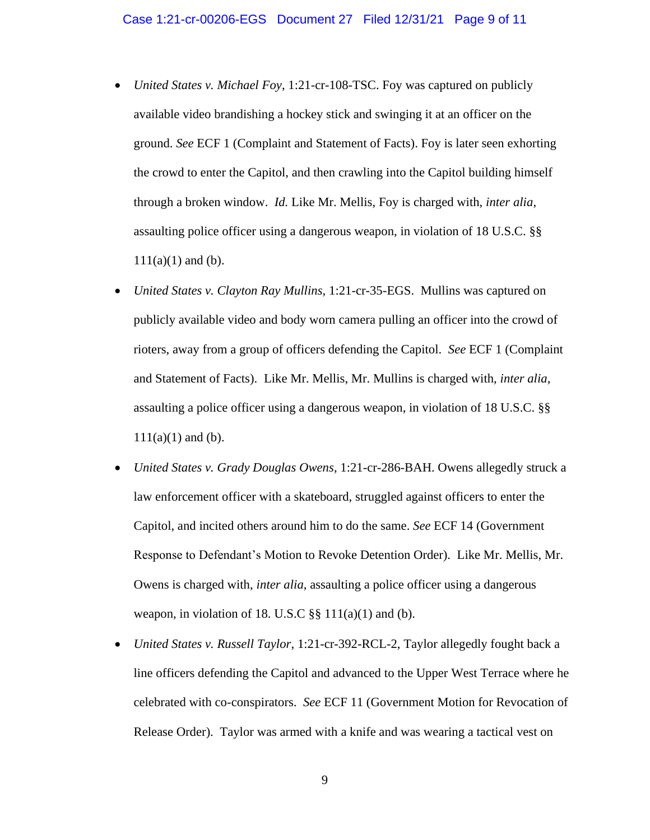- *United States v. Michael Foy*, 1:21-cr-108-TSC. Foy was captured on publicly available video brandishing a hockey stick and swinging it at an officer on the ground. *See* ECF 1 (Complaint and Statement of Facts). Foy is later seen exhorting the crowd to enter the Capitol, and then crawling into the Capitol building himself through a broken window. *Id.* Like Mr. Mellis, Foy is charged with, *inter alia*, assaulting police officer using a dangerous weapon, in violation of 18 U.S.C. §§  $111(a)(1)$  and (b).
- *United States v. Clayton Ray Mullins,* 1:21-cr-35-EGS. Mullins was captured on publicly available video and body worn camera pulling an officer into the crowd of rioters, away from a group of officers defending the Capitol. *See* ECF 1 (Complaint and Statement of Facts). Like Mr. Mellis, Mr. Mullins is charged with, *inter alia*, assaulting a police officer using a dangerous weapon, in violation of 18 U.S.C. §§  $111(a)(1)$  and (b).
- *United States v. Grady Douglas Owens*, 1:21-cr-286-BAH. Owens allegedly struck a law enforcement officer with a skateboard, struggled against officers to enter the Capitol, and incited others around him to do the same. *See* ECF 14 (Government Response to Defendant's Motion to Revoke Detention Order). Like Mr. Mellis, Mr. Owens is charged with, *inter alia*, assaulting a police officer using a dangerous weapon, in violation of 18. U.S.C  $\S$ § 111(a)(1) and (b).
- *United States v. Russell Taylor*, 1:21-cr-392-RCL-2, Taylor allegedly fought back a line officers defending the Capitol and advanced to the Upper West Terrace where he celebrated with co-conspirators. *See* ECF 11 (Government Motion for Revocation of Release Order). Taylor was armed with a knife and was wearing a tactical vest on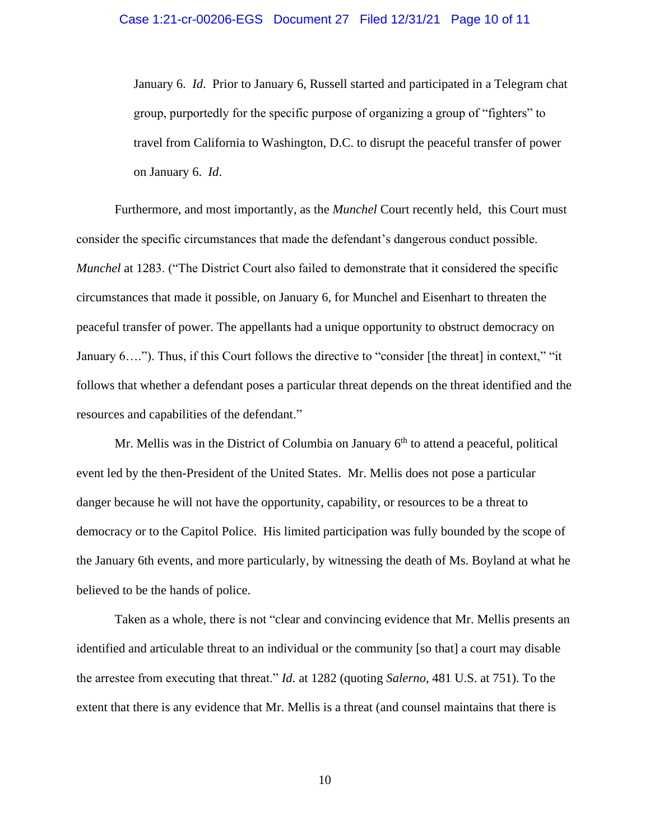January 6. *Id*. Prior to January 6, Russell started and participated in a Telegram chat group, purportedly for the specific purpose of organizing a group of "fighters" to travel from California to Washington, D.C. to disrupt the peaceful transfer of power on January 6. *Id*.

Furthermore, and most importantly, as the *Munchel* Court recently held, this Court must consider the specific circumstances that made the defendant's dangerous conduct possible. *Munchel* at 1283. ("The District Court also failed to demonstrate that it considered the specific circumstances that made it possible, on January 6, for Munchel and Eisenhart to threaten the peaceful transfer of power. The appellants had a unique opportunity to obstruct democracy on January 6…."). Thus, if this Court follows the directive to "consider [the threat] in context," "it follows that whether a defendant poses a particular threat depends on the threat identified and the resources and capabilities of the defendant."

Mr. Mellis was in the District of Columbia on January  $6<sup>th</sup>$  to attend a peaceful, political event led by the then-President of the United States. Mr. Mellis does not pose a particular danger because he will not have the opportunity, capability, or resources to be a threat to democracy or to the Capitol Police. His limited participation was fully bounded by the scope of the January 6th events, and more particularly, by witnessing the death of Ms. Boyland at what he believed to be the hands of police.

Taken as a whole, there is not "clear and convincing evidence that Mr. Mellis presents an identified and articulable threat to an individual or the community [so that] a court may disable the arrestee from executing that threat." *Id*. at 1282 (quoting *Salerno*, 481 U.S. at 751). To the extent that there is any evidence that Mr. Mellis is a threat (and counsel maintains that there is

10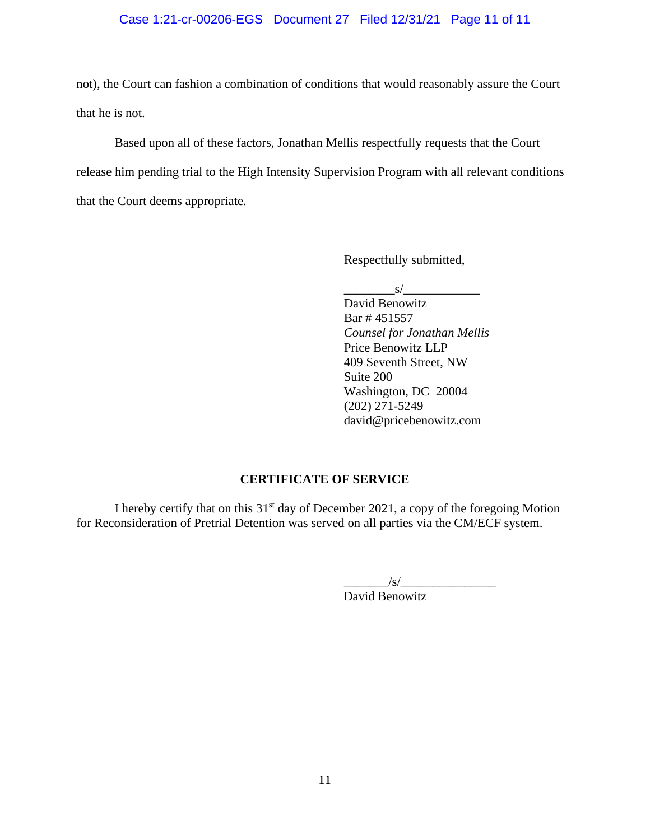# Case 1:21-cr-00206-EGS Document 27 Filed 12/31/21 Page 11 of 11

not), the Court can fashion a combination of conditions that would reasonably assure the Court that he is not.

Based upon all of these factors, Jonathan Mellis respectfully requests that the Court release him pending trial to the High Intensity Supervision Program with all relevant conditions that the Court deems appropriate.

Respectfully submitted,

 $s/$ 

David Benowitz Bar # 451557 *Counsel for Jonathan Mellis* Price Benowitz LLP 409 Seventh Street, NW Suite 200 Washington, DC 20004 (202) 271-5249 david@pricebenowitz.com

# **CERTIFICATE OF SERVICE**

I hereby certify that on this  $31<sup>st</sup>$  day of December 2021, a copy of the foregoing Motion for Reconsideration of Pretrial Detention was served on all parties via the CM/ECF system.

> $\frac{1}{s}$  /s/ $\frac{1}{s}$ David Benowitz